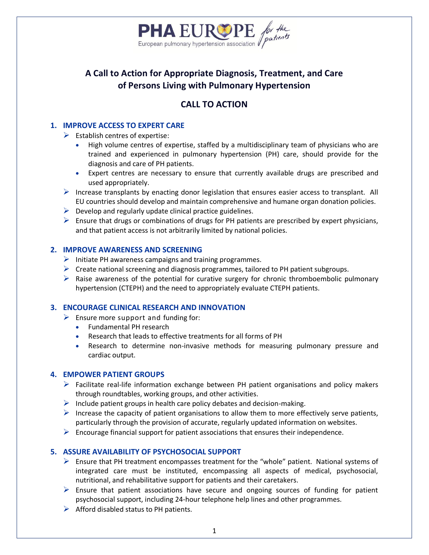

# **A Call to Action for Appropriate Diagnosis, Treatment, and Care of Persons Living with Pulmonary Hypertension**

# **CALL TO ACTION**

## **1. IMPROVE ACCESS TO EXPERT CARE**

 $\triangleright$  Establish centres of expertise:

- High volume centres of expertise, staffed by a multidisciplinary team of physicians who are trained and experienced in pulmonary hypertension (PH) care, should provide for the diagnosis and care of PH patients.
- Expert centres are necessary to ensure that currently available drugs are prescribed and used appropriately.
- Increase transplants by enacting donor legislation that ensures easier access to transplant. All EU countries should develop and maintain comprehensive and humane organ donation policies.
- $\triangleright$  Develop and regularly update clinical practice guidelines.
- $\triangleright$  Ensure that drugs or combinations of drugs for PH patients are prescribed by expert physicians, and that patient access is not arbitrarily limited by national policies.

### **2. IMPROVE AWARENESS AND SCREENING**

- $\triangleright$  Initiate PH awareness campaigns and training programmes.
- $\triangleright$  Create national screening and diagnosis programmes, tailored to PH patient subgroups.
- $\triangleright$  Raise awareness of the potential for curative surgery for chronic thromboembolic pulmonary hypertension (CTEPH) and the need to appropriately evaluate CTEPH patients.

## **3. ENCOURAGE CLINICAL RESEARCH AND INNOVATION**

- $\triangleright$  Ensure more support and funding for:
	- Fundamental PH research
	- Research that leads to effective treatments for all forms of PH
	- Research to determine non-invasive methods for measuring pulmonary pressure and cardiac output.

### **4. EMPOWER PATIENT GROUPS**

- $\triangleright$  Facilitate real-life information exchange between PH patient organisations and policy makers through roundtables, working groups, and other activities.
- $\triangleright$  Include patient groups in health care policy debates and decision-making.
- Increase the capacity of patient organisations to allow them to more effectively serve patients, particularly through the provision of accurate, regularly updated information on websites.
- $\triangleright$  Encourage financial support for patient associations that ensures their independence.

## **5. ASSURE AVAILABILITY OF PSYCHOSOCIAL SUPPORT**

- $\triangleright$  Ensure that PH treatment encompasses treatment for the "whole" patient. National systems of integrated care must be instituted, encompassing all aspects of medical, psychosocial, nutritional, and rehabilitative support for patients and their caretakers.
- $\triangleright$  Ensure that patient associations have secure and ongoing sources of funding for patient psychosocial support, including 24-hour telephone help lines and other programmes.
- $\triangleright$  Afford disabled status to PH patients.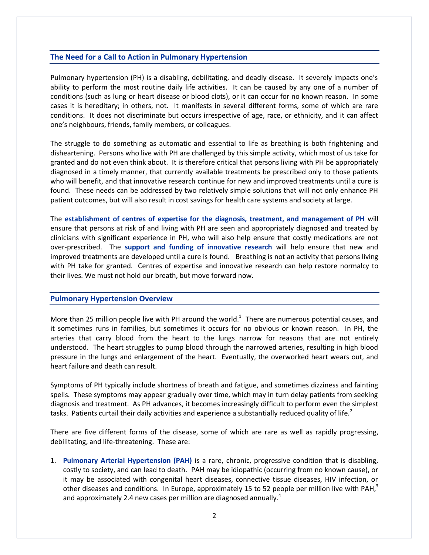#### **The Need for a Call to Action in Pulmonary Hypertension**

Pulmonary hypertension (PH) is a disabling, debilitating, and deadly disease. It severely impacts one's ability to perform the most routine daily life activities. It can be caused by any one of a number of conditions (such as lung or heart disease or blood clots), or it can occur for no known reason. In some cases it is hereditary; in others, not. It manifests in several different forms, some of which are rare conditions. It does not discriminate but occurs irrespective of age, race, or ethnicity, and it can affect one's neighbours, friends, family members, or colleagues.

The struggle to do something as automatic and essential to life as breathing is both frightening and disheartening. Persons who live with PH are challenged by this simple activity, which most of us take for granted and do not even think about. It is therefore critical that persons living with PH be appropriately diagnosed in a timely manner, that currently available treatments be prescribed only to those patients who will benefit, and that innovative research continue for new and improved treatments until a cure is found. These needs can be addressed by two relatively simple solutions that will not only enhance PH patient outcomes, but will also result in cost savings for health care systems and society at large.

The **establishment of centres of expertise for the diagnosis, treatment, and management of PH** will ensure that persons at risk of and living with PH are seen and appropriately diagnosed and treated by clinicians with significant experience in PH, who will also help ensure that costly medications are not over-prescribed. The **support and funding of innovative research** will help ensure that new and improved treatments are developed until a cure is found. Breathing is not an activity that persons living with PH take for granted. Centres of expertise and innovative research can help restore normalcy to their lives. We must not hold our breath, but move forward now.

#### **Pulmonary Hypertension Overview**

More than 25 million people live with PH around the world.<sup>1</sup> There are numerous potential causes, and it sometimes runs in families, but sometimes it occurs for no obvious or known reason. In PH, the arteries that carry blood from the heart to the lungs narrow for reasons that are not entirely understood. The heart struggles to pump blood through the narrowed arteries, resulting in high blood pressure in the lungs and enlargement of the heart. Eventually, the overworked heart wears out, and heart failure and death can result.

Symptoms of PH typically include shortness of breath and fatigue, and sometimes dizziness and fainting spells. These symptoms may appear gradually over time, which may in turn delay patients from seeking diagnosis and treatment. As PH advances, it becomes increasingly difficult to perform even the simplest tasks. Patients curtail their daily activities and experience a substantially reduced quality of life.<sup>2</sup>

There are five different forms of the disease, some of which are rare as well as rapidly progressing, debilitating, and life-threatening. These are:

1. **Pulmonary Arterial Hypertension (PAH)** is a rare, chronic, progressive condition that is disabling, costly to society, and can lead to death. PAH may be idiopathic (occurring from no known cause), or it may be associated with congenital heart diseases, connective tissue diseases, HIV infection, or other diseases and conditions. In Europe, approximately 15 to 52 people per million live with PAH,<sup>3</sup> and approximately 2.4 new cases per million are diagnosed annually.<sup>4</sup>